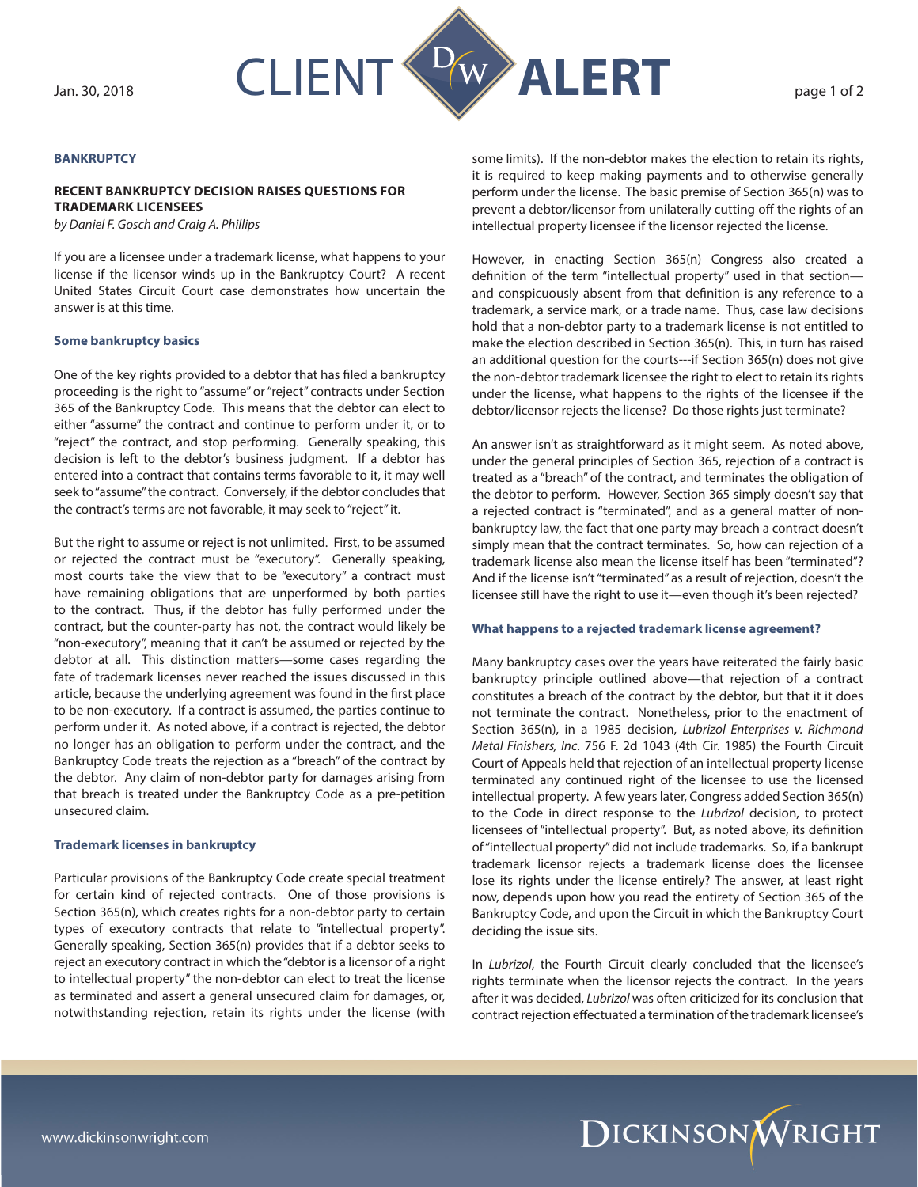

## **BANKRUPTCY**

# **RECENT BANKRUPTCY DECISION RAISES QUESTIONS FOR TRADEMARK LICENSEES**

*by Daniel F. Gosch and Craig A. Phillips*

If you are a licensee under a trademark license, what happens to your license if the licensor winds up in the Bankruptcy Court? A recent United States Circuit Court case demonstrates how uncertain the answer is at this time.

### **Some bankruptcy basics**

One of the key rights provided to a debtor that has filed a bankruptcy proceeding is the right to "assume" or "reject" contracts under Section 365 of the Bankruptcy Code. This means that the debtor can elect to either "assume" the contract and continue to perform under it, or to "reject" the contract, and stop performing. Generally speaking, this decision is left to the debtor's business judgment. If a debtor has entered into a contract that contains terms favorable to it, it may well seek to "assume" the contract. Conversely, if the debtor concludes that the contract's terms are not favorable, it may seek to "reject" it.

But the right to assume or reject is not unlimited. First, to be assumed or rejected the contract must be "executory". Generally speaking, most courts take the view that to be "executory" a contract must have remaining obligations that are unperformed by both parties to the contract. Thus, if the debtor has fully performed under the contract, but the counter-party has not, the contract would likely be "non-executory", meaning that it can't be assumed or rejected by the debtor at all. This distinction matters—some cases regarding the fate of trademark licenses never reached the issues discussed in this article, because the underlying agreement was found in the first place to be non-executory. If a contract is assumed, the parties continue to perform under it. As noted above, if a contract is rejected, the debtor no longer has an obligation to perform under the contract, and the Bankruptcy Code treats the rejection as a "breach" of the contract by the debtor. Any claim of non-debtor party for damages arising from that breach is treated under the Bankruptcy Code as a pre-petition unsecured claim.

### **Trademark licenses in bankruptcy**

Particular provisions of the Bankruptcy Code create special treatment for certain kind of rejected contracts. One of those provisions is Section 365(n), which creates rights for a non-debtor party to certain types of executory contracts that relate to "intellectual property". Generally speaking, Section 365(n) provides that if a debtor seeks to reject an executory contract in which the "debtor is a licensor of a right to intellectual property" the non-debtor can elect to treat the license as terminated and assert a general unsecured claim for damages, or, notwithstanding rejection, retain its rights under the license (with

some limits). If the non-debtor makes the election to retain its rights, it is required to keep making payments and to otherwise generally perform under the license. The basic premise of Section 365(n) was to prevent a debtor/licensor from unilaterally cutting off the rights of an intellectual property licensee if the licensor rejected the license.

However, in enacting Section 365(n) Congress also created a definition of the term "intellectual property" used in that section and conspicuously absent from that definition is any reference to a trademark, a service mark, or a trade name. Thus, case law decisions hold that a non-debtor party to a trademark license is not entitled to make the election described in Section 365(n). This, in turn has raised an additional question for the courts---if Section 365(n) does not give the non-debtor trademark licensee the right to elect to retain its rights under the license, what happens to the rights of the licensee if the debtor/licensor rejects the license? Do those rights just terminate?

An answer isn't as straightforward as it might seem. As noted above, under the general principles of Section 365, rejection of a contract is treated as a "breach" of the contract, and terminates the obligation of the debtor to perform. However, Section 365 simply doesn't say that a rejected contract is "terminated", and as a general matter of nonbankruptcy law, the fact that one party may breach a contract doesn't simply mean that the contract terminates. So, how can rejection of a trademark license also mean the license itself has been "terminated"? And if the license isn't "terminated" as a result of rejection, doesn't the licensee still have the right to use it—even though it's been rejected?

### **What happens to a rejected trademark license agreement?**

Many bankruptcy cases over the years have reiterated the fairly basic bankruptcy principle outlined above—that rejection of a contract constitutes a breach of the contract by the debtor, but that it it does not terminate the contract. Nonetheless, prior to the enactment of Section 365(n), in a 1985 decision, *Lubrizol Enterprises v. Richmond Metal Finishers, Inc*. 756 F. 2d 1043 (4th Cir. 1985) the Fourth Circuit Court of Appeals held that rejection of an intellectual property license terminated any continued right of the licensee to use the licensed intellectual property. A few years later, Congress added Section 365(n) to the Code in direct response to the *Lubrizol* decision, to protect licensees of "intellectual property". But, as noted above, its definition of "intellectual property" did not include trademarks. So, if a bankrupt trademark licensor rejects a trademark license does the licensee lose its rights under the license entirely? The answer, at least right now, depends upon how you read the entirety of Section 365 of the Bankruptcy Code, and upon the Circuit in which the Bankruptcy Court deciding the issue sits.

In *Lubrizol*, the Fourth Circuit clearly concluded that the licensee's rights terminate when the licensor rejects the contract. In the years after it was decided, *Lubrizol* was often criticized for its conclusion that contract rejection effectuated a termination of the trademark licensee's